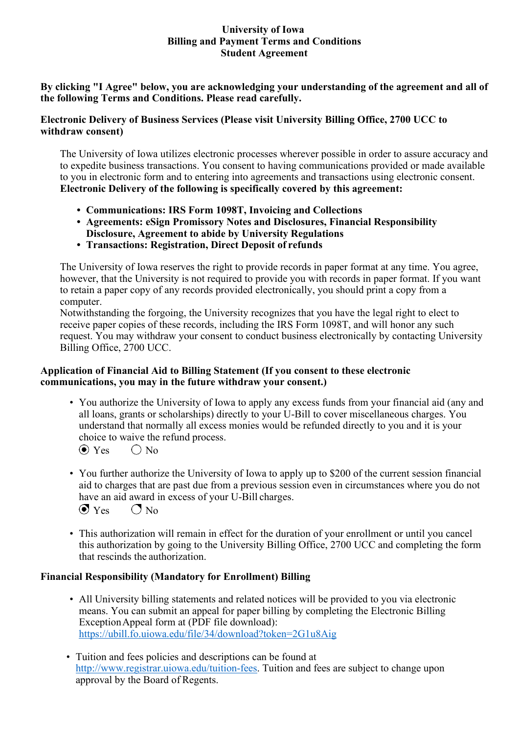# **University of Iowa Billing and Payment Terms and Conditions Student Agreement**

## **By clicking "I Agree" below, you are acknowledging your understanding of the agreement and all of the following Terms and Conditions. Please read carefully.**

# **Electronic Delivery of Business Services (Please visit University Billing Office, 2700 UCC to withdraw consent)**

The University of Iowa utilizes electronic processes wherever possible in order to assure accuracy and to expedite business transactions. You consent to having communications provided or made available to you in electronic form and to entering into agreements and transactions using electronic consent. **Electronic Delivery of the following is specifically covered by this agreement:**

- **• Communications: IRS Form 1098T, Invoicing and Collections**
- **• Agreements: eSign Promissory Notes and Disclosures, Financial Responsibility Disclosure, Agreement to abide by University Regulations**
- **• Transactions: Registration, Direct Deposit of refunds**

The University of Iowa reserves the right to provide records in paper format at any time. You agree, however, that the University is not required to provide you with records in paper format. If you want to retain a paper copy of any records provided electronically, you should print a copy from a computer.

Notwithstanding the forgoing, the University recognizes that you have the legal right to elect to receive paper copies of these records, including the IRS Form 1098T, and will honor any such request. You may withdraw your consent to conduct business electronically by contacting University Billing Office, 2700 UCC.

# **Application of Financial Aid to Billing Statement (If you consent to these electronic communications, you may in the future withdraw your consent.)**

- You authorize the University of Iowa to apply any excess funds from your financial aid (any and all loans, grants or scholarships) directly to your U-Bill to cover miscellaneous charges. You understand that normally all excess monies would be refunded directly to you and it is your choice to waive the refund process.
	- $\odot$  Yes  $\odot$  No
- You further authorize the University of Iowa to apply up to \$200 of the current session financial aid to charges that are past due from a previous session even in circumstances where you do not have an aid award in excess of your U-Bill charges.  $\bigcirc$  Yes  $\bigcirc$  No
- This authorization will remain in effect for the duration of your enrollment or until you cancel this authorization by going to the University Billing Office, 2700 UCC and completing the form that rescinds the authorization.

# **Financial Responsibility (Mandatory for Enrollment) Billing**

- All University billing statements and related notices will be provided to you via electronic means. You can submit an appeal for paper billing by completing the Electronic Billing Exception Appeal form at (PDF file download): <https://ubill.fo.uiowa.edu/file/34/download?token=2G1u8Aig>
- Tuition and fees policies and descriptions can be found at [http://www.registrar.uiowa.edu/tuition-fees.](http://www.registrar.uiowa.edu/tuition-fees) Tuition and fees are subject to change upon approval by the Board of Regents.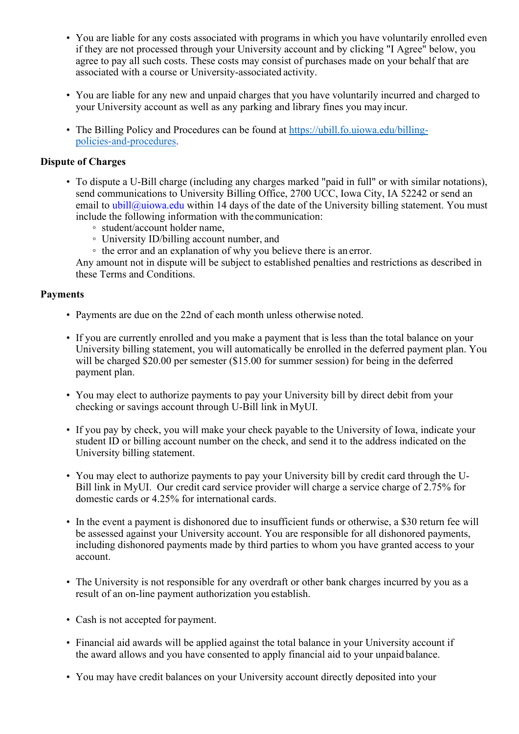- You are liable for any costs associated with programs in which you have voluntarily enrolled even if they are not processed through your University account and by clicking "I Agree" below, you agree to pay all such costs. These costs may consist of purchases made on your behalf that are associated with a course or University-associated activity.
- You are liable for any new and unpaid charges that you have voluntarily incurred and charged to your University account as well as any parking and library fines you may incur.
- The Billing Policy and Procedures can be found at [https://ubill.fo.uiowa.edu/billing](https://ubill.fo.uiowa.edu/billing-policies-and-procedures)[policies-and-procedures.](https://ubill.fo.uiowa.edu/billing-policies-and-procedures)

# **Dispute of Charges**

- To dispute a U-Bill charge (including any charges marked "paid in full" or with similar notations), send communications to University Billing Office, 2700 UCC, Iowa City, IA 52242 or send an email to [ubill@uiowa.edu](mailto:ubill@uiowa.edu) within 14 days of the date of the University billing statement. You must include the following information with the communication:
	- student/account holder name,
	- University ID/billing account number, and
	- the error and an explanation of why you believe there is an error.

Any amount not in dispute will be subject to established penalties and restrictions as described in these Terms and Conditions.

### **Payments**

- Payments are due on the 22nd of each month unless otherwise noted.
- If you are currently enrolled and you make a payment that is less than the total balance on your University billing statement, you will automatically be enrolled in the deferred payment plan. You will be charged \$20.00 per semester (\$15.00 for summer session) for being in the deferred payment plan.
- You may elect to authorize payments to pay your University bill by direct debit from your checking or savings account through U-Bill link in MyUI.
- If you pay by check, you will make your check payable to the University of Iowa, indicate your student ID or billing account number on the check, and send it to the address indicated on the University billing statement.
- You may elect to authorize payments to pay your University bill by credit card through the U-Bill link in MyUI. Our credit card service provider will charge a service charge of 2.75% for domestic cards or 4.25% for international cards.
- In the event a payment is dishonored due to insufficient funds or otherwise, a \$30 return fee will be assessed against your University account. You are responsible for all dishonored payments, including dishonored payments made by third parties to whom you have granted access to your account.
- The University is not responsible for any overdraft or other bank charges incurred by you as a result of an on-line payment authorization you establish.
- Cash is not accepted for payment.
- Financial aid awards will be applied against the total balance in your University account if the award allows and you have consented to apply financial aid to your unpaid balance.
- You may have credit balances on your University account directly deposited into your